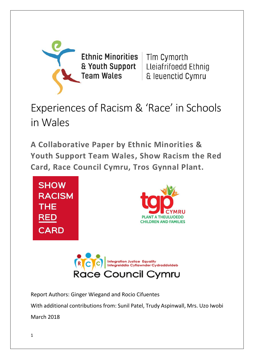

Ethnic Minorities | Tîm Cymorth & Youth Support **Team Wales** 

Lleiafrifoedd Ethnig & leuenctid Cymru

# Experiences of Racism & 'Race' in Schools in Wales

**A Collaborative Paper by Ethnic Minorities & Youth Support Team Wales, Show Racism the Red Card, Race Council Cymru, Tros Gynnal Plant.**





Report Authors: Ginger Wiegand and Rocio Cifuentes

With additional contributions from: Sunil Patel, Trudy Aspinwall, Mrs. Uzo Iwobi

March 2018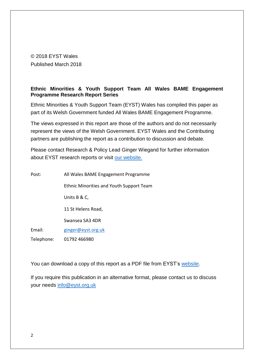© 2018 EYST Wales Published March 2018

# **Ethnic Minorities & Youth Support Team All Wales BAME Engagement Programme Research Report Series**

Ethnic Minorities & Youth Support Team (EYST) Wales has compiled this paper as part of its Welsh Government funded All Wales BAME Engagement Programme.

The views expressed in this report are those of the authors and do not necessarily represent the views of the Welsh Government. EYST Wales and the Contributing partners are publishing the report as a contribution to discussion and debate.

Please contact Research & Policy Lead Ginger Wiegand for further information about EYST research reports or visit [our website.](http://www.eyst.org.uk/)

| Post:      | All Wales BAME Engagement Programme             |  |  |  |  |
|------------|-------------------------------------------------|--|--|--|--|
|            | <b>Ethnic Minorities and Youth Support Team</b> |  |  |  |  |
|            | Units B & C,                                    |  |  |  |  |
|            | 11 St Helens Road,                              |  |  |  |  |
|            | Swansea SA3 4DR                                 |  |  |  |  |
| Email:     | ginger@eyst.org.uk                              |  |  |  |  |
| Telephone: | 01792 466980                                    |  |  |  |  |

You can download a copy of this report as a PDF file from EYST's [website.](http://www.eyst.org.uk/)

If you require this publication in an alternative format, please contact us to discuss your needs [info@eyst.org.uk](mailto:info@eyst.org.uk)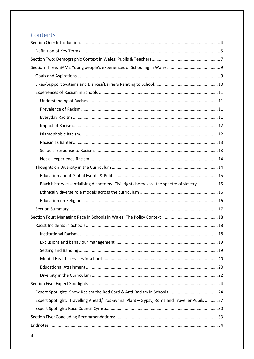# Contents

| Black history essentialising dichotomy: Civil rights heroes vs. the spectre of slavery  15  |  |
|---------------------------------------------------------------------------------------------|--|
|                                                                                             |  |
|                                                                                             |  |
|                                                                                             |  |
|                                                                                             |  |
|                                                                                             |  |
|                                                                                             |  |
|                                                                                             |  |
|                                                                                             |  |
|                                                                                             |  |
|                                                                                             |  |
|                                                                                             |  |
|                                                                                             |  |
|                                                                                             |  |
| Expert Spotlight: Travelling Ahead/Tros Gynnal Plant - Gypsy, Roma and Traveller Pupils  27 |  |
|                                                                                             |  |
|                                                                                             |  |
|                                                                                             |  |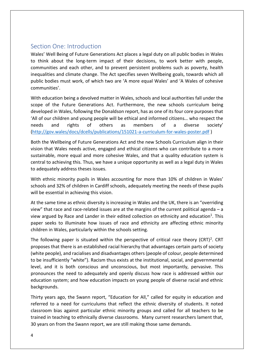# <span id="page-3-0"></span>Section One: Introduction

Wales' Well Being of Future Generations Act places a legal duty on all public bodies in Wales to think about the long-term impact of their decisions, to work better with people, communities and each other, and to prevent persistent problems such as poverty, health inequalities and climate change. The Act specifies seven Wellbeing goals, towards which all public bodies must work, of which two are 'A more equal Wales' and 'A Wales of cohesive communities'.

With education being a devolved matter in Wales, schools and local authorities fall under the scope of the Future Generations Act. Furthermore, the new schools curriculum being developed in Wales, following the Donaldson report, has as one of its four core purposes that 'All of our children and young people will be ethical and informed citizens… who respect the needs and rights of others as members of a diverse society' [\(http://gov.wales/docs/dcells/publications/151021-a-curriculum-for-wales-poster.pdf](http://gov.wales/docs/dcells/publications/151021-a-curriculum-for-wales-poster.pdf) )

Both the Wellbeing of Future Generations Act and the new Schools Curriculum align in their vision that Wales needs active, engaged and ethical citizens who can contribute to a more sustainable, more equal and more cohesive Wales, and that a quality education system is central to achieving this. Thus, we have a unique opportunity as well as a legal duty in Wales to adequately address theses issues.

With ethnic minority pupils in Wales accounting for more than 10% of children in Wales' schools and 32% of children in Cardiff schools, adequately meeting the needs of these pupils will be essential in achieving this vision.

At the same time as ethnic diversity is increasing in Wales and the UK, there is an "overriding view" that race and race-related issues are at the margins of the current political agenda – a view argued by Race and Lander in their edited collection on ethnicity and education<sup>1</sup>. This paper seeks to illuminate how issues of race and ethnicity are affecting ethnic minority children in Wales, particularly within the schools setting.

The following paper is situated within the perspective of critical race theory (CRT)<sup>2</sup>. CRT proposes that there is an established racial hierarchy that advantages certain parts of society (white people), and racialises and disadvantages others (people of colour, people determined to be insufficiently "white"). Racism thus exists at the institutional, social, and governmental level, and it is both conscious and unconscious, but most importantly, pervasive. This pronounces the need to adequately and openly discuss how race is addressed within our education system; and how education impacts on young people of diverse racial and ethnic backgrounds.

Thirty years ago, the Swann report, "Education for All," called for equity in education and referred to a need for curriculums that reflect the ethnic diversity of students. It noted classroom bias against particular ethnic minority groups and called for all teachers to be trained in teaching to ethnically diverse classrooms. Many current researchers lament that, 30 years on from the Swann report, we are still making those same demands.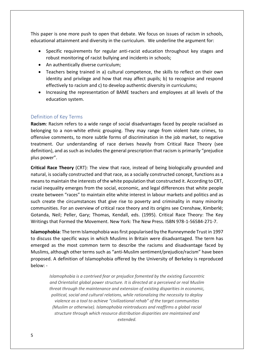This paper is one more push to open that debate. We focus on issues of racism in schools, educational attainment and diversity in the curriculum. We underline the argument for:

- Specific requirements for regular anti-racist education throughout key stages and robust monitoring of racist bullying and incidents in schools;
- An authentically diverse curriculum;
- Teachers being trained in a) cultural competence, the skills to reflect on their own identity and privilege and how that may affect pupils; b) to recognise and respond effectively to racism and c) to develop authentic diversity in curriculums;
- Increasing the representation of BAME teachers and employees at all levels of the education system.

# <span id="page-4-0"></span>Definition of Key Terms

**Racism**: Racism refers to a wide range of social disadvantages faced by people racialised as belonging to a non-white ethnic grouping. They may range from violent hate crimes, to offensive comments, to more subtle forms of discrimination in the job market, to negative treatment. Our understanding of race derives heavily from Critical Race Theory (see definition), and as such as includes the general prescription that racism is primarily "prejudice plus power".

**Critical Race Theory** (CRT): The view that race, instead of being biologically grounded and natural, is socially constructed and that race, as a socially constructed concept, functions as a means to maintain the interests of the white population that constructed it. According to CRT, racial inequality emerges from the social, economic, and legal differences that white people create between "races" to maintain elite white interest in labour markets and politics and as such create the circumstances that give rise to poverty and criminality in many minority communities. For an overview of critical race theory and its origins see Crenshaw, Kimberlé; Gotanda, Neil; Peller, Gary; Thomas, Kendall, eds. (1995). Critical Race Theory: The Key Writings that Formed the Movement. New York: The New Press. ISBN 978-1-56584-271-7.

**Islamophobia**: The term Islamophobia was first popularised by the Runneymede Trust in 1997 to discuss the specific ways in which Muslims in Britain were disadvantaged. The term has emerged as the most common term to describe the racisms and disadvantage faced by Muslims, although other terms such as "anti-Muslim sentiment/prejudice/racism" have been proposed. A definition of Islamophobia offered by the University of Berkeley is reproduced below: -

*Islamophobia is a contrived fear or prejudice fomented by the existing Eurocentric and Orientalist global power structure. It is directed at a perceived or real Muslim threat through the maintenance and extension of existing disparities in economic, political, social and cultural relations, while rationalizing the necessity to deploy violence as a tool to achieve "civilizational rehab" of the target communities (Muslim or otherwise). Islamophobia reintroduces and reaffirms a global racial structure through which resource distribution disparities are maintained and extended.*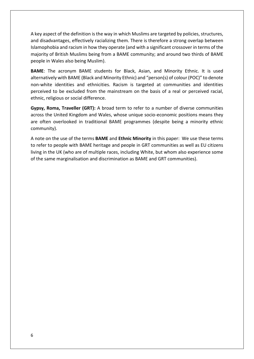A key aspect of the definition is the way in which Muslims are targeted by policies, structures, and disadvantages, effectively racializing them. There is therefore a strong overlap between Islamophobia and racism in how they operate (and with a significant crossover in terms of the majority of British Muslims being from a BAME community; and around two thirds of BAME people in Wales also being Muslim).

**BAME**: The acronym BAME students for Black, Asian, and Minority Ethnic. It is used alternatively with BAME (Black and Minority Ethnic) and "person(s) of colour (POC)" to denote non-white identities and ethnicities. Racism is targeted at communities and identities perceived to be excluded from the mainstream on the basis of a real or perceived racial, ethnic, religious or social difference.

**Gypsy, Roma, Traveller (GRT):** A broad term to refer to a number of diverse communities across the United Kingdom and Wales, whose unique socio-economic positions means they are often overlooked in traditional BAME programmes (despite being a minority ethnic community).

A note on the use of the terms **BAME** and **Ethnic Minority** in this paper: We use these terms to refer to people with BAME heritage and people in GRT communities as well as EU citizens living in the UK (who are of multiple races, including White, but whom also experience some of the same marginalisation and discrimination as BAME and GRT communities).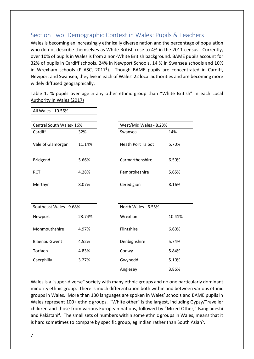# <span id="page-6-0"></span>Section Two: Demographic Context in Wales: Pupils & Teachers

Wales is becoming an increasingly ethnically diverse nation and the percentage of population who do not describe themselves as White British rose to 4% in the 2011 census. Currently, over 10% of pupils in Wales is from a non-White British background. BAME pupils account for 32% of pupils in Cardiff schools, 24% in Newport Schools, 14 % in Swansea schools and 10% in Wrexham schools (PLASC, 2017<sup>3</sup>). Though BAME pupils are concentrated in Cardiff, Newport and Swansea, they live in each of Wales' 22 local authorities and are becoming more widely diffused geographically.

| All Wales - 10.56%      |        |                          |        |
|-------------------------|--------|--------------------------|--------|
|                         |        |                          |        |
| Central South Wales-16% |        | West/Mid Wales - 8.23%   |        |
| Cardiff                 | 32%    | Swansea                  | 14%    |
| Vale of Glamorgan       | 11.14% | <b>Neath Port Talbot</b> | 5.70%  |
| <b>Bridgend</b>         | 5.66%  | Carmarthenshire          | 6.50%  |
| <b>RCT</b>              | 4.28%  | Pembrokeshire            | 5.65%  |
| Merthyr                 | 8.07%  | Ceredigion               | 8.16%  |
|                         |        |                          |        |
| Southeast Wales - 9.68% |        | North Wales - 6.55%      |        |
| Newport                 | 23.74% | Wrexham                  | 10.41% |
| Monmouthshire           | 4.97%  | Flintshire               | 6.60%  |
| <b>Blaenau Gwent</b>    | 4.52%  | Denbighshire             | 5.74%  |
| Torfaen                 | 4.83%  | Conwy                    | 5.84%  |
| Caerphilly              | 3.27%  | Gwynedd                  | 5.10%  |
|                         |        | Anglesey                 | 3.86%  |

Table 1: % pupils over age 5 any other ethnic group than "White British" in each Local Authority in Wales (2017)

Wales is a "super-diverse" society with many ethnic groups and no one particularly dominant minority ethnic group. There is much differentiation both within and between various ethnic groups in Wales. More than 130 languages are spoken in Wales' schools and BAME pupils in Wales represent 100+ ethnic groups. "White other" is the largest, including Gypsy/Traveller children and those from various European nations, followed by "Mixed Other," Bangladeshi and Pakistani<sup>4</sup>. The small sets of numbers within some ethnic groups in Wales, means that it is hard sometimes to compare by specific group, eg Indian rather than South Asian<sup>5</sup>.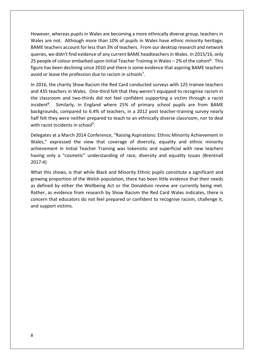However, whereas pupils in Wales are becoming a more ethnically diverse group, teachers in Wales are not. Although more than 10% of pupils in Wales have ethnic minority heritage, BAME teachers account for less than 3% of teachers. From our desktop research and network queries, we didn't find evidence of any current BAME headteachers in Wales. In 2015/16, only 25 people of colour embarked upon Initial Teacher Training in Wales  $-$  2% of the cohort<sup>6</sup>. This figure has been declining since 2010 and there is some evidence that aspiring BAME teachers avoid or leave the profession due to racism in schools<sup>7</sup>.

In 2016, the charity Show Racism the Red Card conducted surveys with 125 trainee teachers and 435 teachers in Wales. One-third felt that they weren't equipped to recognise racism in the classroom and two-thirds did not feel confident supporting a victim through a racist incident<sup>8</sup>. Similarly, in England where 25% of primary school pupils are from BAME backgrounds, compared to 6.4% of teachers, in a 2012 post teacher-training survey nearly half felt they were neither prepared to teach to an ethnically diverse classroom, nor to deal with racist incidents in school<sup>9</sup>.

Delegates at a March 2014 Conference, "Raising Aspirations: Ethnic Minority Achievement in Wales," expressed the view that coverage of diversity, equality and ethnic minority achievement in Initial Teacher Training was tokenistic and superficial with new teachers having only a "cosmetic" understanding of race, diversity and equality issues (Brentnall 2017:4)

What this shows, is that while Black and Minority Ethnic pupils constitute a significant and growing proportion of the Welsh population, there has been little evidence that their needs as defined by either the Wellbeing Act or the Donaldson review are currently being met. Rather, as evidence from research by Show Racism the Red Card Wales indicates, there is concern that educators do not feel prepared or confident to recognise racism, challenge it, and support victims.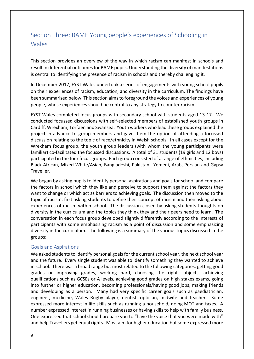# <span id="page-8-0"></span>Section Three: BAME Young people's experiences of Schooling in Wales

This section provides an overview of the way in which racism can manifest in schools and result in differential outcomes for BAME pupils. Understanding the diversity of manifestations is central to identifying the presence of racism in schools and thereby challenging it.

In December 2017, EYST Wales undertook a series of engagements with young school pupils on their experiences of racism, education, and diversity in the curriculum. The findings have been summarised below. This section aims to foreground the voices and experiences of young people, whose experiences should be central to any strategy to counter racism.

EYST Wales completed focus groups with secondary school with students aged 13-17. We conducted focussed discussions with self-selected members of established youth groups in Cardiff, Wrexham, Torfaen and Swansea. Youth workers who lead these groups explained the project in advance to group members and gave them the option of attending a focussed discussion relating to the topic of race/ethnicity in Welsh schools. In all cases except for the Wrexham focus group, the youth group leaders (with whom the young participants were familiar) co-facilitated the focussed discussions. A total of 31 students (19 girls and 12 boys) participated in the four focus groups. Each group consisted of a range of ethnicities, including Black African, Mixed White/Asian, Bangladeshi, Pakistani, Yemeni, Arab, Persian and Gypsy **Traveller** 

We began by asking pupils to identify personal aspirations and goals for school and compare the factors in school which they like and perceive to support them against the factors they want to change or which act as barriers to achieving goals. The discussion then moved to the topic of racism, first asking students to define their concept of racism and then asking about experiences of racism within school. The discussion closed by asking students thoughts on diversity in the curriculum and the topics they think they and their peers need to learn. The conversation in each focus group developed slightly differently according to the interests of participants with some emphasising racism as a point of discussion and some emphasizing diversity in the curriculum. The following is a summary of the various topics discussed in the groups:

#### <span id="page-8-1"></span>Goals and Aspirations

We asked students to identify personal goals for the current school year, the next school year and the future. Every single student was able to identify something they wanted to achieve in school. There was a broad range but most related to the following categories: getting good grades or improving grades, working hard, choosing the right subjects, achieving qualifications such as GCSEs or A levels, achieving good grades on high stakes exams, going into further or higher education, becoming professionals/having good jobs, making friends and developing as a person. Many had very specific career goals such as paediatrician, engineer, medicine, Wales Rugby player, dentist, optician, midwife and teacher. Some expressed more interest in life skills such as running a household, doing MOT and taxes. A number expressed interest in running businesses or having skills to help with family business. One expressed that school should prepare you to "have the voice that you were made with" and help Travellers get equal rights. Most aim for higher education but some expressed more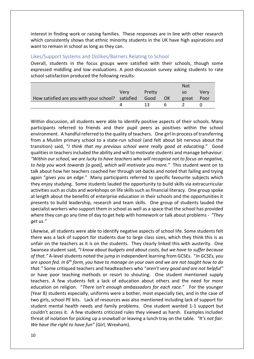interest in finding work or raising families. These responses are in line with other research which consistently shows that ethnic minority students in the UK have high aspirations and want to remain in school as long as they can.

# <span id="page-9-0"></span>Likes/Support Systems and Dislikes/Barriers Relating to School

Overall, students in the focus groups were satisfied with their schools, though some expressed middling and low evaluations. A post-discussion survey asking students to rate school satisfaction produced the following results:

|                                                        |      |        |           | Not   |             |
|--------------------------------------------------------|------|--------|-----------|-------|-------------|
|                                                        | Very | Pretty |           | SO.   | <b>Verv</b> |
| How satisfied are you with your school? satisfied Good |      |        | <b>OK</b> | great | Poor        |
|                                                        |      | 13.    | h         |       |             |

Within discussion, all students were able to identify positive aspects of their schools. Many participants referred to friends and their pupil peers as positives within the school environment. A handful referred to the quality of teachers. One girl in process of transferring from a Muslim primary school to a state-run school (and felt about bit nervous about the transition) said, "*I think that my previous school were really good at educating*." Good qualities in teachers included the ability and will to motivate students and manage behaviour. *"Within our school, we are lucky to have teachers who will recognise not to focus on negative, to help you work towards [a goal], which will motivate you more."* This student went on to talk about how her teachers coached her through set-backs and noted that failing and trying again "*gives you an edge*." Many participants referred to specific favourite subjects which they enjoy studying. Some students lauded the opportunity to build skills via extracurricular activities such as clubs and workshops on life skills such as financial literacy. One group spoke at length about the benefits of enterprise education in their schools and the opportunities it presents to build leadership, research and team skills. One group of students lauded the specialist workers who support them in school as well as a space that the school has provided where they can go any time of day to get help with homework or talk about problems - *"They get us."*

Likewise, all students were able to identify negative aspects of school life. Some students felt there was a lack of support for students due to large class sizes, which they think this is as unfair on the teachers as it is on the students. They clearly linked this with austerity. One Swansea student said, *"I know about budgets and about costs, but we have to suffer because of that."* A-level students noted the jump in independent learning from GCSEs. "*In GCSEs, you are spoon fed. In 6th form, you have to manage on your own and we are not taught how to do that."* Some critiqued teachers and headteachers who "*aren't very good and are not helpful"*  or have poor teaching methods or resort to shouting. One student mentioned supply teachers. A few students felt a lack of education about others and the need for more education on religion. "*There isn't enough ambassadors for each race."* For the younger (Year 8) students especially, uniforms were a bother, most especially ties, and in the case of two girls, school PE kits. Lack of resources was also mentioned including lack of support for student mental health needs and family problems. One student wanted 1-1 support but couldn't access it. A few students criticized rules they viewed as harsh. Examples included threat of isolation for picking up a snowball or leaving a lunch tray on the table*. "It's not fair. We have the right to have fun"* (Girl, Wrexham).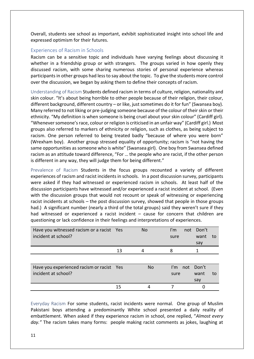Overall, students see school as important, exhibit sophisticated insight into school life and expressed optimism for their futures.

# <span id="page-10-0"></span>Experiences of Racism in Schools

Racism can be a sensitive topic and individuals have varying feelings about discussing it whether in a friendship group or with strangers. The groups varied in how openly they discussed racism, with some sharing numerous stories of personal experience whereas participants in other groups had less to say about the topic. To give the students more control over the discussion, we began by asking them to define their concepts of racism.

<span id="page-10-1"></span>Understanding of Racism Students defined racism in terms of culture, religion, nationality and skin colour. "It's about being horrible to other people because of their religion, their colour, different background, different country – or like, just sometimes do it for fun" (Swansea boy). Many referred to not liking or pre-judging someone because of the colour of their skin or their ethnicity. "My definition is when someone is being cruel about your skin colour" (Cardiff girl). "Whenever someone's race, colour or religion is criticised in an unfair way" (Cardiff girl.) Most groups also referred to markers of ethnicity or religion, such as clothes, as being subject to racism. One person referred to being treated badly "because of where you were born" (Wrexham boy). Another group stressed equality of opportunity; racism is "not having the same opportunities as someone who is white" (Swansea girl). One boy from Swansea defined racism as an attitude toward difference, "For … the people who are racist, if the other person is different in any way, they will judge them for being different."

<span id="page-10-2"></span>Prevalence of Racism Students in the focus groups recounted a variety of different experiences of racism and racist incidents in schools. In a post discussion survey, participants were asked if they had witnessed or experienced racism in schools. At least half of the discussion participants have witnessed and/or experienced a racist incident at school. (Even with the discussion groups that would not recount or speak of witnessing or experiencing racist incidents at schools – the post discussion survey, showed that people in those groups had.) A significant number (nearly a third of the total groups) said they weren't sure if they had witnessed or experienced a racist incident – cause for concern that children are questioning or lack confidence in their feelings and interpretations of experiences.

| Have you witnessed racism or a racist Yes<br>incident at school? |    | <b>No</b>      | $\mathsf{I}'\mathsf{m}$<br>sure | not Don't<br>want<br>say | to |
|------------------------------------------------------------------|----|----------------|---------------------------------|--------------------------|----|
|                                                                  | 13 | 4              | 8                               |                          |    |
|                                                                  |    |                |                                 |                          |    |
| Have you experienced racism or racist Yes                        |    | N <sub>o</sub> | I'm not Don't                   |                          |    |
| incident at school?                                              |    |                | sure                            | want                     | to |
|                                                                  |    |                |                                 | say                      |    |
|                                                                  | 15 |                |                                 |                          |    |

<span id="page-10-3"></span>Everyday Racism For some students, racist incidents were normal. One group of Muslim Pakistani boys attending a predominantly White school presented a daily reality of embattlement. When asked if they experience racism in school, one replied, "*Almost every day."* The racism takes many forms: people making racist comments as jokes, laughing at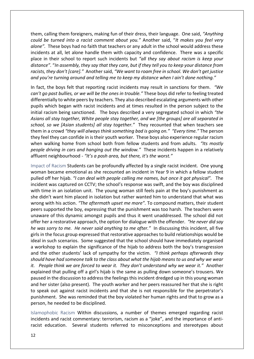them, calling them foreigners, making fun of their dress, their language. One said, *"Anything could be turned into a racist comment about you."* Another said, "*It makes you feel very alone".* These boys had no faith that teachers or any adult in the school would address these incidents at all, let alone handle them with capacity and confidence. There was a specific place in their school to report such incidents but *"all they say about racism is keep your distance".* "*In assembly, they say that they care, but if they tell you to keep your distance from racists, they don't [care]."* Another said, *"We want to roam free in school. We don't get justice and you're turning around and telling me to keep my distance when I ain't done nothing."*

In fact, the boys felt that reporting racist incidents may result in sanctions for them. *"We can't go past bullies, or we will be the ones in trouble."* These boys did refer to feeling treated differentially to white peers by teachers. They also described escalating arguments with other pupils which began with racist incidents and at times resulted in the person subject to the initial racism being sanctioned. The boys described a very segregated school in which *"the Asians all stay together, White people stay together, and we [the groups] are all separated in school, so we [Asian students] all stay together."* They recounted that when teachers see them in a crowd *"they will always think something bad is going on." "Every time."* The person they feel they can confide in is their youth worker. These boys also experience regular racism when walking home from school both from fellow students and from adults. *"Its mostly people driving in cars and hanging out the window."* These incidents happen in a relatively affluent neighbourhood - *"It's a posh area, but there, it's the worst."*

<span id="page-11-0"></span>Impact of Racism Students can be profoundly affected by a single racist incident. One young woman became emotional as she recounted an incident in Year 9 in which a fellow student pulled off her hijab. *"I can deal with people calling me names, but once it got physical".* The incident was captured on CCTV; the school's response was swift, and the boy was disciplined with time in an isolation unit. The young woman still feels pain at the boy's punishment as she didn't want him placed in isolation but rather wanted him to understand that what was wrong with his action. *"The aftermath upset me more".* To compound matters, their student peers supported the boy, expressing that the punishment was too harsh. The teachers were unaware of this dynamic amongst pupils and thus it went unaddressed. The school did not offer her a restorative approach, the option for dialogue with the offender. *"He never did say he was sorry to me. He never said anything to me after."* In discussing this incident, all five girls in the focus group expressed that restorative approaches to build relationships would be ideal in such scenarios. Some suggested that the school should have immediately organised a workshop to explain the significance of the hijab to address both the boy's transgression and the other students' lack of sympathy for the victim. *"I think perhaps afterwards they should have had someone talk to the class about what the hijab means to us and why we wear it. People think we are forced to wear it. They don't understand why we wear it."* Another explained that pulling off a girl's hijab is the same as pulling down someone's trousers. We paused in the discussion to address the feelings this incident dredged up in this young woman and her sister (also present). The youth worker and her peers reassured her that she is right to speak out against racist incidents and that she is not responsible for the perpetrator's punishment. She was reminded that the boy violated her human rights and that to grow as a person, he needed to be disciplined.

<span id="page-11-1"></span>Islamophobic Racism Within discussions, a number of themes emerged regarding racist incidents and racist commentary: terrorism, racism as a "joke", and the importance of antiracist education. Several students referred to misconceptions and stereotypes about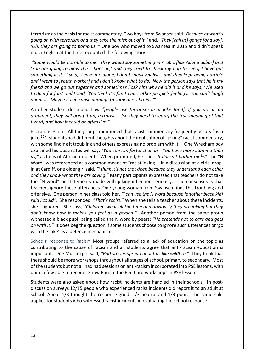terrorism as the basis for racist commentary. Two boys from Swansea said *"Because of what's going on with terrorism and they take the mick out of it,"* and, "*They [call us] gangs [and say], 'Oh, they are going to bomb us.'"* One boy who moved to Swansea in 2015 and didn't speak much English at the time recounted the following story:

*"Some would be horrible to me. They would say something in Arabic [like Allahu akbar] and 'You are going to blow the school up,' and they tried to check my bag to see if I have got something in it. I said, 'Leave me alone, I don't speak English,' and they kept being horrible and I went to [youth worker] and I don't know what to do. Now the person says that he is my friend and we go out together and sometimes I ask him why he did it and he says, 'We used to do it for fun,' and I said, 'You think it's fun to hurt other people's feelings. You can't laugh about it. Maybe it can cause damage to someone's brains.'*"

Another student described how *"people use terrorism as a joke [and], if you are in an argument, they will bring it up, terrorist … [so they need to learn] the true meaning of that [word] and how it could be offensive."*

<span id="page-12-0"></span>Racism as Banter All the groups mentioned that racist commentary frequently occurs "as a joke.<sup>10</sup> Students had different thoughts about the implication of "joking" racist commentary, with some finding it troubling and others expressing no problem with it. One Wrexham boy explained his classmates will say, "*You can run faster than us. You have more stamina than us,"* as he is of African descent." When prompted, he said, "*It doesn't bother me*<sup>11</sup>." The "N Word" was referenced as a common means of "racist joking." In a discussion at a girls' dropin at Cardiff, one older girl said*, "I think it's not that deep because they understand each other and they know what they are saying."* Many participants expressed that teachers do not take the "N-word" or statements made with joking inflection seriously. The consensus is that teachers ignore these utterances. One young woman from Swansea finds this troubling and offensive. One person in her class told her, *"I can use the N word because [another black kid] said I could".* She responded*, "That's racist."* When she tells a teacher about these incidents, she is ignored. She says, *"Children swear all the time and obviously they are joking but they don't know how it makes you feel as a person."* Another person from the same group witnessed a black pupil being called the N word by peers: *"He pretends not to care and gets on with it."* It does beg the question if some students choose to ignore such utterances or 'go with the joke' as a defence mechanism.

<span id="page-12-1"></span>Schools' response to Racism Most groups referred to a lack of education on the topic as contributing to the cause of racism and all students agree that anti-racism education is important. One Muslim girl said, *"Bad stories spread about us like wildfire."* They think that there should be more workshops throughout all stages of school, primary to secondary. Most of the students but not all had had sessions on anti-racism incorporated into PSE lessons, with quite a few able to recount Show Racism the Red Card workshops in PSE lessons.

Students were also asked about how racist incidents are handled in their schools. In postdiscussion surveys 12/15 people who experienced racist incidents did report it to an adult at school. About 1/3 thought the response good, 1/3 neutral and 1/3 poor. The same split applies for students who witnessed racist incidents in evaluating the school response.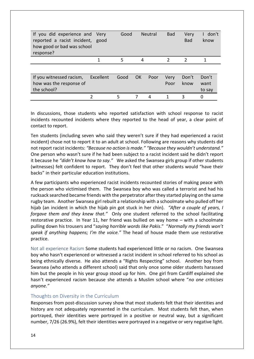| If you did experience and Very<br>reported a racist incident, good<br>how good or bad was school<br>response? |           | Good |     | <b>Neutral</b> | <b>Bad</b>     | Very<br><b>Bad</b> | don't<br>know |
|---------------------------------------------------------------------------------------------------------------|-----------|------|-----|----------------|----------------|--------------------|---------------|
|                                                                                                               |           | 5    | 4   |                | $\overline{2}$ | $\overline{2}$     |               |
|                                                                                                               |           |      |     |                |                |                    |               |
|                                                                                                               |           |      |     |                |                |                    |               |
| If you witnessed racism,                                                                                      | Excellent | Good | OK. | Poor           | Very           | Don't              | Don't         |
| how was the response of                                                                                       |           |      |     |                | Poor           | know               | want          |
| the school?                                                                                                   |           |      |     |                |                |                    | to say        |
|                                                                                                               |           | 5    | 7   | 4              |                | 3                  | 0             |

In discussions, those students who reported satisfaction with school response to racist incidents recounted incidents where they reported to the head of year, a clear point of contact to report.

Ten students (including seven who said they weren't sure if they had experienced a racist incident) chose not to report it to an adult at school. Following are reasons why students did not report racist incidents: *"Because no action is made." "Because they wouldn't understand."* One person who wasn't sure if he had been subject to a racist incident said he didn't report it because he *"didn't know how to say."* We asked the Swansea girls group if other students (witnesses) felt confident to report. They don't feel that other students would "have their backs" in their particular education institutions.

A few participants who experienced racist incidents recounted stories of making peace with the person who victimised them. The Swansea boy who was called a terrorist and had his rucksack searched became friends with the perpetrator after they started playing on the same rugby team. Another Swansea girl rebuilt a relationship with a schoolmate who pulled off her hijab (an incident in which the hijab pin got stuck in her chin). *"After a couple of years, I forgave them and they knew that."* Only one student referred to the school facilitating restorative practice. In Year 11, her friend was bullied on way home – with a schoolmate pulling down his trousers and "*saying horrible words like Pakis*." "*Normally my friends won't speak if anything happens; I'm the voice."* The head of house made them use restorative practice.

<span id="page-13-0"></span>Not all experience Racism Some students had experienced little or no racism. One Swansea boy who hasn't experienced or witnessed a racist incident in school referred to his school as being ethnically diverse. He also attends a "Rights Respecting" school. Another boy from Swansea (who attends a different school) said that only once some older students harassed him but the people in his year group stood up for him. One girl from Cardiff explained she hasn't experienced racism because she attends a Muslim school where "*no one criticises anyone."* 

# <span id="page-13-1"></span>Thoughts on Diversity in the Curriculum

Responses from post-discussion survey show that most students felt that their identities and history are not adequately represented in the curriculum. Most students felt than, when portrayed, their identities were portrayed in a positive or neutral way, but a significant number, 7/26 (26.9%), felt their identities were portrayed in a negative or very negative light.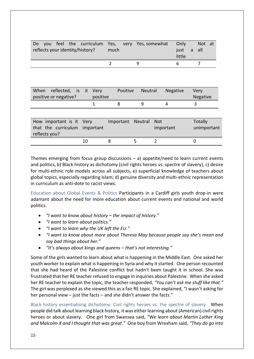| Do l<br><b>VOU</b><br>reflects your identity/history? | feel                  |      | the curriculum | Yes,<br>much |          | very Yes, somewhat |            | Only<br>just<br>little | a | Not at<br>all  |  |
|-------------------------------------------------------|-----------------------|------|----------------|--------------|----------|--------------------|------------|------------------------|---|----------------|--|
|                                                       |                       |      |                | 2            |          | 9                  |            | 6                      |   | 7              |  |
|                                                       |                       |      |                |              |          |                    |            |                        |   |                |  |
|                                                       |                       |      |                |              |          |                    |            |                        |   |                |  |
| When                                                  | reflected, is it Very |      |                |              | Positive | Neutral            |            | Negative               |   | Very           |  |
| positive or negative?                                 |                       |      | positive       |              |          |                    |            |                        |   | Negative       |  |
|                                                       |                       |      | 1              | 8            |          | 9                  | 4          |                        | 3 |                |  |
|                                                       |                       |      |                |              |          |                    |            |                        |   |                |  |
| How important is it                                   |                       | Verv |                | Important    |          | <b>Neutral</b>     | <b>Not</b> |                        |   | <b>Totally</b> |  |

| How important is it very<br>that the curriculum important<br>reflects you? |    | Important Neutral Not | important | Totally<br>unimportant |
|----------------------------------------------------------------------------|----|-----------------------|-----------|------------------------|
|                                                                            | 10 |                       |           |                        |

Themes emerging from focus group discussions  $-$  a) appetite/need to learn current events and politics, b) Black history as dichotomy (civil rights heroes vs. spectre of slavery), c) desire for multi-ethnic role models across all subjects, e) superficial knowledge of teachers about global topics, especially regarding Islam; d) genuine diversity and multi-ethnic representation in curriculum as anti-dote to racist views.

<span id="page-14-0"></span>Education about Global Events & Politics Participants in a Cardiff girls youth drop-in were adamant about the need for more education about current events and national and world politics.

- *"I want to know about history – the impact of history."*
- *"I want to learn about politics."*
- *"I want to learn why the UK left the EU."*
- *"I want to know about more about Theresa May because people say she's mean and say bad things about her."*
- *"It's always about kings and queens – that's not interesting."*

Some of the girls wanted to learn about what is happening in the Middle East. One asked her youth worker to explain what is happening in Syria and why it started. One person recounted that she had heard of the Palestine conflict but hadn't been taught it in school. She was frustrated that her RE teacher refused to engage in inquiries about Palestine. When she asked her RE teacher to explain the topic, the teacher responded, *"You can't ask me stuff like that."* The girl was perplexed as she viewed this as a fair RE topic. She explained, "I wasn't asking for her personal view – just the facts – and she didn't answer the facts."

<span id="page-14-1"></span>Black history essentialising dichotomy: Civil rights heroes vs. the spectre of slavery When people did talk about learning black history, it was either learning about (American) civil rights heroes or about slavery. One girl from Swansea said, *"We learn about Martin Luther King and Malcolm X and I thought that was great."* One boy from Wrexham said, *"They do go into*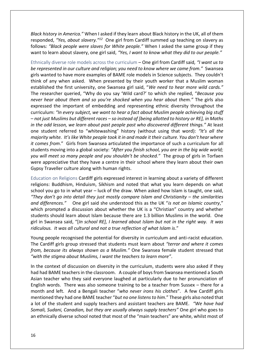*Black history in America."* When I asked if they learn about Black history in the UK, all of them responded, *"Yes, about slavery."<sup>12</sup>* One girl from Cardiff summed up teaching on slavery as follows*: "Black people were slaves for White people."* When I asked the same group if they want to learn about slavery, one girl said, *"Yes, I want to know what they did to our people."*

<span id="page-15-0"></span>Ethnically diverse role models across the curriculum – One girl from Cardiff said*, "I want us to be represented in our culture and religion; you need to know where we came from."* Swansea girls wanted to have more examples of BAME role models in Science subjects. They couldn't think of any when asked. When presented by their youth worker that a Muslim woman established the first university, one Swansea girl said, "*We need to hear more wild cards."* The researcher queried, "Why do you say 'Wild card?' to which she replied, "*Because you never hear about them and so you're shocked when you hear about them."* The girls also expressed the important of embedding and representing ethnic diversity throughout the curriculum: *"In every subject, we want to hear a fact about Muslim people achieving big stuff – not just Muslims but different races – so instead of [being allotted to history or RE], in Maths in the odd lesson, we learn about past people past who discovered different things."* At least one student referred to "whitewashing" history (without using that word): *"It's all the majority white. It's like White people took it in and made it their culture. You don't hear where it comes from*." Girls from Swansea articulated the importance of such a curriculum for all students moving into a global society: *"After you finish school, you are in the big wide world; you will meet so many people and you shouldn't be shocked."* The group of girls in Torfaen were appreciative that they have a centre in their school where they learn about their own Gypsy Traveller culture along with human rights.

<span id="page-15-1"></span>Education on Religions Cardiff girls expressed interest in learning about a variety of different religions: Buddhism, Hinduism, Sikhism and noted that what you learn depends on what school you go to in what year – luck of the draw. When asked how Islam is taught, one said, *"They don't go into detail they just mostly compare Islam and Christianity – the similarities and differences."* One girl said she understood this as the UK "*is not an Islamic country*," which prompted a discussion about whether the UK is a "Christian" country and whether students should learn about Islam because there are 1.3 billion Muslims in the world. One girl in Swansea said, "[*In school RE], I learned about Islam but not in the right way. It was ridiculous. It was all cultural and not a true reflection of what Islam is*."

Young people recognised the potential for diversity in curriculum and anti-racist education. The Cardiff girls group stressed that students must learn about *"terror and where it comes from, because its always shown as a Muslim."* One Swansea female student stressed that *"with the stigma about Muslims, I want the teachers to learn more"*.

In the context of discussion on diversity in the curriculum, students were also asked if they had had BAME teachers in the classroom. A couple of boys from Swansea mentioned a South Asian teacher who they said everyone laughed at particularly due to her pronunciation of English words. There was also someone training to be a teacher from Sussex – there for a month and left. And a Bengali teacher "*who never irons his clothes*". A few Cardiff girls mentioned they had one BAME teacher "*but no one listens to him*." These girls also noted that a lot of the student and supply teachers and assistant teachers are BAME. *"We have had Somali, Sudani, Canadian, but they are usually always supply teachers"* One girl who goes to an ethnically diverse school noted that most of the "main teachers" are white, whilst most of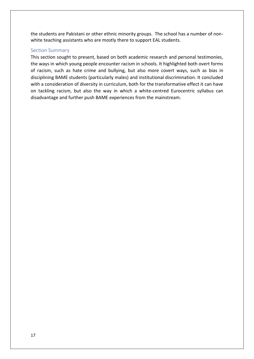the students are Pakistani or other ethnic minority groups. The school has a number of nonwhite teaching assistants who are mostly there to support EAL students.

# <span id="page-16-0"></span>Section Summary

This section sought to present, based on both academic research and personal testimonies, the ways in which young people encounter racism in schools. It highlighted both overt forms of racism, such as hate crime and bullying, but also more covert ways, such as bias in disciplining BAME students (particularly males) and institutional discrimination. It concluded with a consideration of diversity in curriculum, both for the transformative effect it can have on tackling racism, but also the way in which a white-centred Eurocentric syllabus can disadvantage and further push BAME experiences from the mainstream.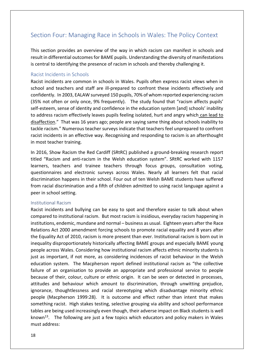# <span id="page-17-0"></span>Section Four: Managing Race in Schools in Wales: The Policy Context

This section provides an overview of the way in which racism can manifest in schools and result in differential outcomes for BAME pupils. Understanding the diversity of manifestations is central to identifying the presence of racism in schools and thereby challenging it.

## <span id="page-17-1"></span>Racist Incidents in Schools

Racist incidents are common in schools in Wales. Pupils often express racist views when in school and teachers and staff are ill-prepared to confront these incidents effectively and confidently. In 2003, EALAW surveyed 150 pupils, 70% of whom reported experiencing racism (35% not often or only once, 9% frequently). The study found that "racism affects pupils' self-esteem, sense of identity and confidence in the education system [and] schools' inability to address racism effectively leaves pupils feeling isolated, hurt and angry which can lead to disaffection." That was 16 years ago; people are saying same thing about schools inability to tackle racism." Numerous teacher surveys indicate that teachers feel unprepared to confront racist incidents in an effective way. Recognising and responding to racism is an afterthought in most teacher training.

In 2016, Show Racism the Red Cardiff (SRtRC) published a ground-breaking research report titled "Racism and anti-racism in the Welsh education system". SRtRC worked with 1157 learners, teachers and trainee teachers through focus groups, consultation voting, questionnaires and electronic surveys across Wales. Nearly all learners felt that racial discrimination happens in their school. Four out of ten Welsh BAME students have suffered from racial discrimination and a fifth of children admitted to using racist language against a peer in school setting.

#### <span id="page-17-2"></span>Institutional Racism

Racist incidents and bullying can be easy to spot and therefore easier to talk about when compared to institutional racism. But most racism is insidious, everyday racism happening in institutions, endemic, mundane and normal – business as usual. Eighteen years after the Race Relations Act 2000 amendment forcing schools to promote racial equality and 8 years after the Equality Act of 2010, racism is more present than ever. Institutional racism is born out in inequality disproportionately historically affecting BAME groups and especially BAME young people across Wales. Considering how institutional racism affects ethnic minority students is just as important, if not more, as considering incidences of racist behaviour in the Welsh education system. The Macpherson report defined institutional racism as "the collective failure of an organisation to provide an appropriate and professional service to people because of their, colour, culture or ethnic origin. It can be seen or detected in processes, attitudes and behaviour which amount to discrimination, through unwitting prejudice, ignorance, thoughtlessness and racial stereotyping which disadvantage minority ethnic people (Macpherson 1999:28). It is outcome and effect rather than intent that makes something racist. High stakes testing, selective grouping via ability and school performance tables are being used increasingly even though, their adverse impact on Black students is well known<sup>13</sup>. The following are just a few topics which educators and policy makers in Wales must address: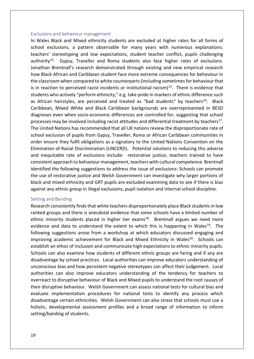#### <span id="page-18-0"></span>Exclusions and behaviour management

In Wales Black and Mixed ethnicity students are excluded at higher rates for all forms of school exclusions, a pattern observable for many years with numerous explanations: teachers' stereotyping and low expectations, student teacher conflict, pupils challenging authority $14$ . Gypsy, Traveller and Roma students also face higher rates of exclusions. Jonathan Brentnall's research demonstrated through existing and new empirical research how Black African and Caribbean student face more extreme consequences for behaviour in the classroom when compared to white counterparts (including sometimes for behaviour that is in reaction to perceived racist incidents or institutional racism $1^{15}$ . There is evidence that students who actively "perform ethnicity," e.g. take pride in markers of ethnic difference such as African hairstyles, are perceived and treated as "bad students" by teachers<sup>16</sup>. Black Caribbean, Mixed White and Black Caribbean backgrounds are overrepresented in BESD diagnoses even when socio-economic differences are controlled for, suggesting that school processes may be involved including racist attitudes and differential treatment by teachers<sup>17</sup>. The United Nations has recommended that all UK nations review the disproportionate rate of school exclusion of pupils from Gypsy, Traveller, Roma or African Caribbean communities in order ensure they fulfil obligations as a signatory to the United Nations Convention on the Elimination of Racial Discrimination (UNCERD). Potential solutions to reducing this adverse and inequitable rate of exclusions include: restorative justice, teachers trained to have consistent approach to behaviour management, teachers with cultural competence. Brentnall identified the following suggestions to address the issue of exclusions: Schools can promote the use of restorative justice and Welsh Government can investigate why larger portions of black and mixed ethnicity and GRT pupils are excluded examining data to see if there is bias against any ethnic group in illegal exclusions, pupil isolation and internal school discipline.

#### <span id="page-18-1"></span>Setting and Banding

Research consistently finds that white teachers disproportionately place Black students in low ranked groups and there is anecdotal evidence that some schools have a limited number of ethnic minority students placed in higher tier exams<sup>18</sup>. Brentnall argues we need more evidence and data to understand the extent to which this is happening in Wales<sup>19</sup>. The following suggestions arose from a workshop at which educators discussed engaging and improving academic achievement for Black and Mixed Ethnicity in Wales<sup>20</sup>. Schools can establish an ethos of inclusion and communicate high expectations to ethnic minority pupils. Schools can also examine how students of different ethnic groups are faring and if any are disadvantage by school practices. Local authorities can improve educators understanding of unconscious bias and how persistent negative stereotypes can affect their judgement. Local authorities can also improve educators understanding of the tendency for teachers to overreact to disruptive behaviour of Black and Mixed pupils to understand the root causes of their disruptive behaviour. Welsh Government can assess national tests for cultural bias and evaluate implementation procedures for national tests to identify any process which disadvantage certain ethnicities. Welsh Government can also stress that schools must use a holistic, developmental assessment profiles and a broad range of information to inform setting/banding of students.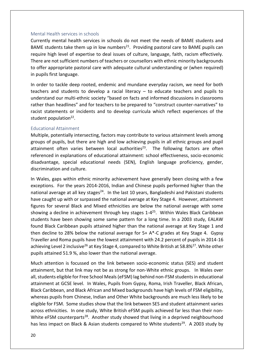#### <span id="page-19-0"></span>Mental Health services in schools

Currently mental health services in schools do not meet the needs of BAME students and BAME students take them up in low numbers<sup>21</sup>. Providing pastoral care to BAME pupils can require high level of expertise to deal issues of culture, language, faith, racism effectively. There are not sufficient numbers of teachers or counsellors with ethnic minority backgrounds to offer appropriate pastoral care with adequate cultural understanding or (when required) in pupils first language.

In order to tackle deep rooted, endemic and mundane everyday racism, we need for both teachers and students to develop a racial literacy – to educate teachers and pupils to understand our multi-ethnic society "based on facts and informed discussions in classrooms rather than headlines" and for teachers to be prepared to "construct counter-narratives" to racist statements or incidents and to develop curricula which reflect experiences of the student population<sup>22</sup>.

#### <span id="page-19-1"></span>Educational Attainment

Multiple, potentially intersecting, factors may contribute to various attainment levels among groups of pupils, but there are high and low achieving pupils in all ethnic groups and pupil attainment often varies between local authorities<sup>23</sup>. The following factors are often referenced in explanations of educational attainment: school effectiveness, socio-economic disadvantage, special educational needs (SEN), English language proficiency, gender, discrimination and culture.

In Wales, gaps within ethnic minority achievement have generally been closing with a few exceptions. For the years 2014-2016, Indian and Chinese pupils performed higher than the national average at all key stages<sup>24</sup>. In the last 10 years, Bangladeshi and Pakistani students have caught up with or surpassed the national average at Key Stage 4. However, attainment figures for several Black and Mixed ethnicities are below the national average with some showing a decline in achievement through key stages 1-4<sup>25</sup>. Within Wales Black Caribbean students have been showing some same pattern for a long time. In a 2003 study, EALAW found Black Caribbean pupils attained higher than the national average at Key Stage 1 and then decline to 28% below the national average for  $5+ A^*$ -C grades at Key Stage 4. Gypsy Traveller and Roma pupils have the lowest attainment with 24.2 percent of pupils in 2014-16 achieving Level 2 inclusive<sup>26</sup> at Key Stage 4, compared to White British at 58.8%<sup>27</sup>. White other pupils attained 51.9 %, also lower than the national average.

Much attention is focussed on the link between socio-economic status (SES) and student attainment, but that link may not be as strong for non-White ethnic groups. In Wales over all, students eligible for Free School Meals (eFSM) lag behind non-FSM students in educational attainment at GCSE level. In Wales, Pupils from Gypsy, Roma, Irish Traveller, Black African, Black Caribbean, and Black African and Mixed backgrounds have high levels of FSM eligibility, whereas pupils from Chinese, Indian and Other White backgrounds are much less likely to be eligible for FSM. Some studies show that the link between SES and student attainment varies across ethnicities. In one study, White British eFSM pupils achieved far less than their non-White eFSM counterparts<sup>28</sup>. Another study showed that living in a deprived neighbourhood has less impact on Black & Asian students compared to White students<sup>29</sup>. A 2003 study by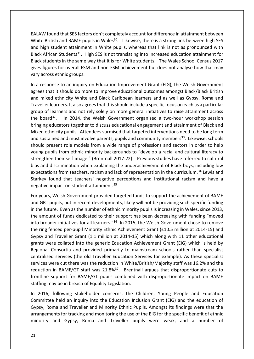EALAW found that SES factors don't completely account for difference in attainment between White British and BAME pupils in Wales<sup>30</sup>. Likewise, there is a strong link between high SES and high student attainment in White pupils, whereas that link is not as pronounced with Black African Students<sup>31</sup>. High SES is not translating into increased education attainment for Black students in the same way that it is for White students. The Wales School Census 2017 gives figures for overall FSM and non-FSM achievement but does not analyse how that may vary across ethnic groups.

In a response to an inquiry on Education Improvement Grant (EIG), the Welsh Government agrees that it should do more to improve educational outcomes amongst Black/Black British and mixed ethnicity White and Black Caribbean learners and as well as Gypsy, Roma and Traveller learners. It also agrees that this should include a specific focus on each as a particular group of learners and not rely solely on more general initiatives to raise attainment across the board<sup>32</sup>. In 2014, the Welsh Government organised a two-hour workshop session bringing educators together to discuss educational engagement and attainment of Black and Mixed ethnicity pupils. Attendees surmised that targeted interventions need to be long term and sustained and must involve parents, pupils and community members<sup>33</sup>. Likewise, schools should present role models from a wide range of professions and sectors in order to help young pupils from ethnic minority backgrounds to "develop a racial and cultural literacy to strengthen their self-image." (Brentnall 2017:22). Previous studies have referred to cultural bias and discrimination when explaining the underachievement of Black boys, including low expectations from teachers, racism and lack of representation in the curriculum.<sup>34</sup> Lewis and Starkey found that teachers' negative perceptions and institutional racism and have a negative impact on student attainment.<sup>35</sup>

For years, Welsh Government provided targeted funds to support the achievement of BAME and GRT pupils, but in recent developments, likely will not be providing such specific funding in the future. Even as the number of ethnic minority pupils is increasing in Wales, since 2013, the amount of funds dedicated to their support has been decreasing with funding "moved into broader initiatives for all learners."<sup>36</sup> In 2015, the Welsh Government chose to remove the ring fenced per-pupil Minority Ethnic Achievement Grant (£10.5 million at 2014-15) and Gypsy and Traveller Grant (1.1 million at 2014-15) which along with 11 other educational grants were collated into the generic Education Achievement Grant (EIG) which is held by Regional Consortia and provided primarily to mainstream schools rather than specialist centralised services (the old Traveller Education Services for example). As these specialist services were cut there was the reduction in White/British/Majority staff was 16.2% and the reduction in BAME/GT staff was 21.8%<sup>37</sup>. Brentnall argues that disproportionate cuts to frontline support for BAME/GT pupils combined with disproportionate impact on BAME staffing may be in breach of Equality Legislation.

In 2016, following stakeholder concerns, the Children, Young People and Education Committee held an inquiry into the Education Inclusion Grant (EIG) and the education of Gypsy, Roma and Traveller and Minority Ethnic Pupils. Amongst its findings were that the arrangements for tracking and monitoring the use of the EIG for the specific benefit of ethnic minority and Gypsy, Roma and Traveller pupils were weak, and a number of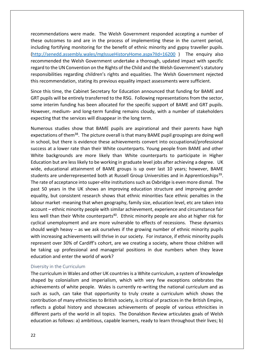recommendations were made. The Welsh Government responded accepting a number of these outcomes to and are in the process of implementing these in the current period, including fortifying monitoring for the benefit of ethnic minority and gypsy traveller pupils. [\(http://senedd.assembly.wales/mgIssueHistoryHome.aspx?IId=16200](http://senedd.assembly.wales/mgIssueHistoryHome.aspx?IId=16200) ) The enquiry also recommended the Welsh Government undertake a thorough, updated impact with specific regard to the UN Convention on the Rights of the Child and the Welsh Government's statutory responsibilities regarding children's rights and equalities. The Welsh Government rejected this recommendation, stating its previous equality impact assessments were sufficient.

Since this time, the Cabinet Secretary for Education announced that funding for BAME and GRT pupils will be entirely transferred to the RSG. Following representations from the sector, some interim funding has been allocated for the specific support of BAME and GRT pupils. However, medium- and long-term funding remains cloudy, with a number of stakeholders expecting that the services will disappear in the long term.

Numerous studies show that BAME pupils are aspirational and their parents have high expectations of them<sup>38</sup>. The picture overall is that many BAME pupil groupings are doing well in school, but there is evidence these achievements convert into occupational/professional success at a lower rate than their White counterparts. Young people from BAME and other White backgrounds are more likely than White counterparts to participate in Higher Education but are less likely to be working in graduate level jobs after achieving a degree. UK wide, educational attainment of BAME groups is up over last 10 years; however, BAME students are underrepresented both at Russell Group Universities and in Apprenticeships<sup>39</sup>. The rate of acceptance into super-elite institutions such as Oxbridge is even more dismal. The past 50 years in the UK shows an improving education structure and improving gender equality, but consistent research shows that ethnic minorities face ethnic penalties in the labour market -meaning that when geography, family size, education level, etc are taken into account – ethnic minority people with similar achievement, experience and circumstance fair less well than their White counterparts<sup>40</sup>. Ethnic minority people are also at higher risk for cyclical unemployment and are more vulnerable to effects of recessions. These dynamics should weigh heavy – as we ask ourselves if the growing number of ethnic minority pupils with increasing achievements will thrive in our society. For instance, if ethnic minority pupils represent over 30% of Cardiff's cohort, are we creating a society, where those children will be taking up professional and managerial positions in due numbers when they leave education and enter the world of work?

#### <span id="page-21-0"></span>Diversity in the Curriculum

The curriculum in Wales and other UK countries is a White curriculum, a system of knowledge shaped by colonialism and imperialism, which with very few exceptions celebrates the achievements of white people. Wales is currently re-writing the national curriculum and as such as such, can take that opportunity to truly create a curriculum which shows the contribution of many ethnicities to British society, is critical of practices in the British Empire, reflects a global history and showcases achievements of people of various ethnicities in different parts of the world in all topics. The Donaldson Review articulates goals of Welsh education as follows: a) ambitious, capable learners, ready to learn throughout their lives; b)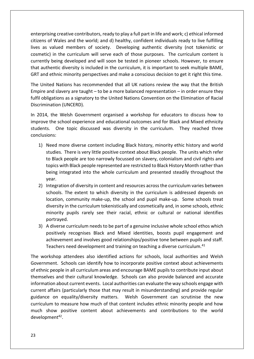enterprising creative contributors, ready to play a full part in life and work; c) ethical informed citizens of Wales and the world; and d) healthy, confident individuals ready to live fulfilling lives as valued members of society. Developing authentic diversity (not tokenistic or cosmetic) in the curriculum will serve each of those purposes. The curriculum content is currently being developed and will soon be tested in pioneer schools. However, to ensure that authentic diversity is included in the curriculum, it is important to seek multiple BAME, GRT and ethnic minority perspectives and make a conscious decision to get it right this time.

The United Nations has recommended that all UK nations review the way that the British Empire and slavery are taught – to be a more balanced representation – in order ensure they fulfil obligations as a signatory to the United Nations Convention on the Elimination of Racial Discrimination (UNCERD).

In 2014, the Welsh Government organised a workshop for educators to discuss how to improve the school experience and educational outcomes and for Black and Mixed ethnicity students. One topic discussed was diversity in the curriculum. They reached three conclusions:

- 1) Need more diverse content including Black history, minority ethic history and world studies. There is very little positive context about Black people. The units which refer to Black people are too narrowly focussed on slavery, colonialism and civil rights and topics with Black people represented are restricted to Black History Month rather than being integrated into the whole curriculum and presented steadily throughout the year.
- 2) Integration of diversity in content and resources across the curriculum varies between schools. The extent to which diversity in the curriculum is addressed depends on location, community make-up, the school and pupil make-up. Some schools treat diversity in the curriculum tokenistically and cosmetically and, in some schools, ethnic minority pupils rarely see their racial, ethnic or cultural or national identifies portrayed.
- 3) A diverse curriculum needs to be part of a genuine inclusive whole school ethos which positively recognises Black and Mixed identities, boosts pupil engagement and achievement and involves good relationships/positive tone between pupils and staff. Teachers need development and training on teaching a diverse curriculum.<sup>41</sup>

The workshop attendees also identified actions for schools, local authorities and Welsh Government. Schools can identify how to incorporate positive context about achievements of ethnic people in all curriculum areas and encourage BAME pupils to contribute input about themselves and their cultural knowledge. Schools can also provide balanced and accurate information about current events. Local authorities can evaluate the way schools engage with current affairs (particularly those that may result in misunderstanding) and provide regular guidance on equality/diversity matters. Welsh Government can scrutinise the new curriculum to measure how much of that content includes ethnic minority people and how much show positive content about achievements and contributions to the world development<sup>42</sup>.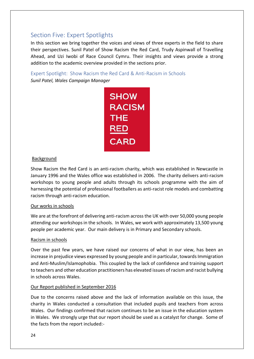# <span id="page-23-0"></span>Section Five: Expert Spotlights

In this section we bring together the voices and views of three experts in the field to share their perspectives. Sunil Patel of Show Racism the Red Card, Trudy Aspinwall of Travelling Ahead, and Uzi Iwobi of Race Council Cymru. Their insights and views provide a strong addition to the academic overview provided in the sections prior.

<span id="page-23-1"></span>Expert Spotlight: Show Racism the Red Card & Anti-Racism in Schools *Sunil Patel, Wales Campaign Manager*



## Background

Show Racism the Red Card is an anti-racism charity, which was established in Newcastle in January 1996 and the Wales office was established in 2006. The charity delivers anti-racism workshops to young people and adults through its schools programme with the aim of harnessing the potential of professional footballers as anti-racist role models and combatting racism through anti-racism education.

#### Our works in schools

We are at the forefront of delivering anti-racism across the UK with over 50,000 young people attending our workshops in the schools. In Wales, we work with approximately 13,500 young people per academic year. Our main delivery is in Primary and Secondary schools.

#### Racism in schools

Over the past few years, we have raised our concerns of what in our view, has been an increase in prejudice views expressed by young people and in particular, towards Immigration and Anti-Muslim/Islamophobia. This coupled by the lack of confidence and training support to teachers and other education practitioners has elevated issues of racism and racist bullying in schools across Wales.

# Our Report published in September 2016

Due to the concerns raised above and the lack of information available on this issue, the charity in Wales conducted a consultation that included pupils and teachers from across Wales. Our findings confirmed that racism continues to be an issue in the education system in Wales. We strongly urge that our report should be used as a catalyst for change. Some of the facts from the report included:-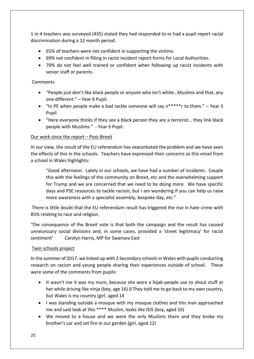1 in 4 teachers was surveyed (435) stated they had responded to or had a pupil report racial discrimination during a 12 month period.

- 65% of teachers were not confident in supporting the victims.
- 69% not confident in filling in racist incident report forms for Local Authorities.
- 70% do not feel well trained or confident when following up racist incidents with senior staff or parents.

# Comments

- "People just don't like black people or anyone who isn't white…Muslims and that, any one different." – Year 6 Pupil.
- "In PE when people make a bad tackle someone will say  $n^{****}$ r to them." Year 5 Pupil.
- "Here everyone thinks if they see a black person they are a terrorist… they link black people with Muslims." - Year 6 Pupil.

# Our work since the report – Post-Brexit

In our view, the result of the EU referendum has exacerbated the problem and we have seen the effects of this in the schools. Teachers have expressed their concerns as this email from a school in Wales highlights:

"Good afternoon. Lately in our schools, we have had a number of incidents. Couple this with the feelings of the community on Brexit, etc and the overwhelming support for Trump and we are concerned that we need to be doing more. We have specific days and PSE resources to tackle racism, but I am wondering if you can help us raise more awareness with a specialist assembly, bespoke day, etc."

There is little doubt that the EU referendum result has triggered the rise in hate crime with 85% relating to race and religion.

'The consequence of the Brexit vote is that both the campaign and the result has caused unnecessary social divisions and, in some cases, provided a 'street legitimacy' for racist sentiment' Carolyn Harris, MP for Swansea East

# Twin schools project

In the summer of 2017, we linked up with 2 Secondary schools in Wales with pupils conducting research on racism and young people sharing their experiences outside of school. These were some of the comments from pupils:

- It wasn't me it was my mum, because she wore a hijab people use to shout stuff at her while driving like ninja (boy, age 16)  $\mathbb D$  They told me to go back to my own country, but Wales is my country (girl, aged 14
- I was standing outside a mosque with my mosque clothes and this man approached me and said look at this \*\*\*\* Muslim, looks like ISIS (boy, aged 16)
- We moved to a house and we were the only Muslims there and they broke my brother's car and set fire in our garden (girl, aged 12)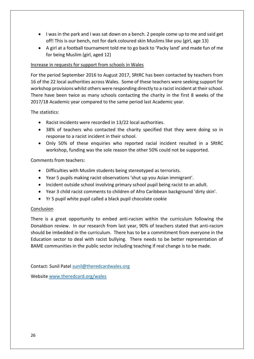- I was in the park and I was sat down on a bench. 2 people come up to me and said get off! This is our bench, not for dark coloured skin Muslims like you (girl, age 13)
- A girl at a football tournament told me to go back to 'Packy land' and made fun of me for being Muslim (girl, aged 12)

## Increase in requests for support from schools in Wales

For the period September 2016 to August 2017, SRtRC has been contacted by teachers from 16 of the 22 local authorities across Wales. Some of these teachers were seeking support for workshop provisions whilst others were responding directly to a racist incident at their school. There have been twice as many schools contacting the charity in the first 8 weeks of the 2017/18 Academic year compared to the same period last Academic year.

## The statistics:

- Racist incidents were recorded in 13/22 local authorities.
- 38% of teachers who contacted the charity specified that they were doing so in response to a racist incident in their school.
- Only 50% of these enquiries who reported racial incident resulted in a SRtRC workshop, funding was the sole reason the other 50% could not be supported.

## Comments from teachers:

- Difficulties with Muslim students being stereotyped as terrorists.
- Year 5 pupils making racist observations 'shut up you Asian immigrant'.
- Incident outside school involving primary school pupil being racist to an adult.
- Year 3 child racist comments to children of Afro Caribbean background 'dirty skin'.
- Yr 5 pupil white pupil called a black pupil chocolate cookie

#### **Conclusion**

There is a great opportunity to embed anti-racism within the curriculum following the Donaldson review. In our research from last year, 90% of teachers stated that anti-racism should be imbedded in the curriculum. There has to be a commitment from everyone in the Education sector to deal with racist bullying. There needs to be better representation of BAME communities in the public sector including teaching if real change is to be made.

Contact: Sunil Patel [sunil@theredcardwales.org](mailto:sunil@theredcardwales.org)

Website [www.theredcard.org/wales](http://www.theredcard.org/wales)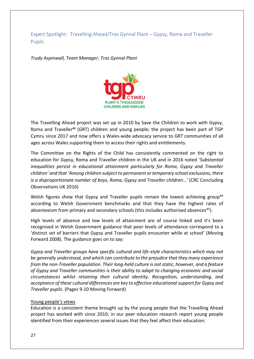<span id="page-26-0"></span>Expert Spotlight: Travelling Ahead/Tros Gynnal Plant – Gypsy, Roma and Traveller Pupils

*Trudy Aspinwall, Team Manager, Tros Gynnal Plant* 



The Travelling Ahead project was set up in 2010 by Save the Children to work with Gypsy, Roma and Traveller**<sup>43</sup>** (GRT) children and young people; the project has been part of TGP Cymru since 2017 and now offers a Wales-wide advocacy service to GRT communities of all ages across Wales supporting them to access their rights and entitlements.

The Committee on the Rights of the Child has consistently commented on the right to education for Gypsy, Roma and Traveller children in the UK and in 2016 noted *'Substantial inequalities persist in educational attainment particularly for Roma, Gypsy and Traveller children' and that 'Among children subject to permanent or temporary school exclusions, there is a disproportionate number of boys, Roma, Gypsy and Traveller children…'* (CRC Concluding Observations UK 2016)

Welsh figures show that Gypsy and Traveller pupils remain the lowest achieving group<sup>44</sup> according to Welsh Government benchmarks and that they have the highest rates of absenteeism from primary and secondary schools (this includes authorised absences<sup>45</sup>).

High levels of absence and low levels of attainment are of course linked and it's been recognised in Welsh Government guidance that poor levels of attendance correspond to a 'distinct set of barriers that Gypsy and Traveller pupils encounter while at school' (Moving Forward 2008). The guidance goes on to say:

*Gypsy and Traveller groups have specific cultural and life-style characteristics which may not be generally understood, and which can contribute to the prejudice that they many experience from the non-Traveller population. Their long-held culture is not static, however, and a feature of Gypsy and Traveller communities is their ability to adapt to changing economic and social circumstances whilst retaining their cultural identity. Recognition, understanding, and acceptance of these cultural differences are key to effective educational support for Gypsy and Traveller pupils*. (Pages 9-10 Moving Forward)

# Young people's views

Education is a consistent theme brought up by the young people that the Travelling Ahead project has worked with since 2010; in our peer education research report young people identified from their experiences several issues that they feel affect their education: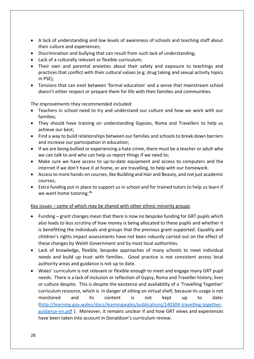- A lack of understanding and low levels of awareness of schools and teaching staff about their culture and experiences;
- Discrimination and bullying that can result from such lack of understanding;
- Lack of a culturally relevant or flexible curriculum;
- Their own and parental anxieties about their safety and exposure to teachings and practices that conflict with their cultural values (e.g. drug taking and sexual activity topics in PSE);
- Tensions that can exist between 'formal education' and a sense that mainstream school doesn't either respect or prepare them for life with their families and communities.

The improvements they recommended included:

- Teachers in school need to try and understand our culture and how we work with our families;
- They should have training on understanding Gypsies, Roma and Travellers to help us achieve our best;
- Find a way to build relationships between our families and schools to break down barriers and increase our participation in education;
- If we are being bullied or experiencing a hate crime, there must be a teacher or adult who we can talk to and who can help us report things if we need to;
- Make sure we have access to up-to-date equipment and access to computers and the internet if we don't have it at home, or are travelling, to help with our homework.
- Access to more hands-on courses, like Building and Hair and Beauty, and not just academic courses;
- Extra funding put in place to support us in school and for trained tutors to help us learn if we want home tutoring.<sup>46</sup>

#### Key issues – some of which may be shared with other ethnic minority groups

- Funding grant changes mean that there is now no bespoke funding for GRT pupils which also leads to less scrutiny of how money is being allocated to these pupils and whether it is benefitting the individuals and groups that the previous grant supported. Equality and children's rights impact assessments have not been robustly carried out on the effect of these changes by Welsh Government and by most local authorities.
- Lack of knowledge, flexible, bespoke approaches of many schools to meet individual needs and build up trust with families. Good practice is not consistent across local authority areas and guidance is not up to date.
- Wales' curriculum is not relevant or flexible enough to meet and engage many GRT pupil needs. There is a lack of inclusion or reflection of Gypsy, Roma and Traveller history, lives or culture despite. This is despite the existence and availability of a 'Travelling Together' curriculum resource, which is in danger of sitting on virtual shelf, because its usage is not monitored and its content is not kept up to date: [\(http://learning.gov.wales/docs/learningwales/publications/140304-travelling-together](http://learning.gov.wales/docs/learningwales/publications/140304-travelling-together-guidance-en.pdf)[guidance-en.pdf](http://learning.gov.wales/docs/learningwales/publications/140304-travelling-together-guidance-en.pdf) ). Moreover, it remains unclear if and how GRT views and experiences have been taken into account in Donaldson's curriculum review.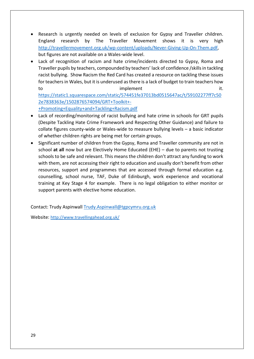- Research is urgently needed on levels of exclusion for Gypsy and Traveller children. England research by The Traveller Movement shows it is very high [http://travellermovement.org.uk/wp-content/uploads/Never-Giving-Up-On-Them.pdf,](http://travellermovement.org.uk/wp-content/uploads/Never-Giving-Up-On-Them.pdf) but figures are not available on a Wales-wide level.
- Lack of recognition of racism and hate crime/incidents directed to Gypsy, Roma and Traveller pupils by teachers, compounded by teachers' lack of confidence /skills in tackling racist bullying. Show Racism the Red Card has created a resource on tackling these issues for teachers in Wales, but it is underused as there is a lack of budget to train teachers how to implement it.

[https://static1.squarespace.com/static/574451fe37013bd0515647ac/t/59102277ff7c50](https://static1.squarespace.com/static/574451fe37013bd0515647ac/t/59102277ff7c502e7838363e/1502876574094/GRT+Toolkit+-+Promoting+Equality+and+Tackling+Racism.pdf) [2e7838363e/1502876574094/GRT+Toolkit+-](https://static1.squarespace.com/static/574451fe37013bd0515647ac/t/59102277ff7c502e7838363e/1502876574094/GRT+Toolkit+-+Promoting+Equality+and+Tackling+Racism.pdf) [+Promoting+Equality+and+Tackling+Racism.pdf](https://static1.squarespace.com/static/574451fe37013bd0515647ac/t/59102277ff7c502e7838363e/1502876574094/GRT+Toolkit+-+Promoting+Equality+and+Tackling+Racism.pdf)

- Lack of recording/monitoring of racist bullying and hate crime in schools for GRT pupils (Despite Tackling Hate Crime Framework and Respecting Other Guidance) and failure to collate figures county-wide or Wales-wide to measure bullying levels – a basic indicator of whether children rights are being met for certain groups.
- Significant number of children from the Gypsy, Roma and Traveller community are not in school **at all** now but are Electively Home Educated (EHE) – due to parents not trusting schools to be safe and relevant. This means the children don't attract any funding to work with them, are not accessing their right to education and usually don't benefit from other resources, support and programmes that are accessed through formal education e.g. counselling, school nurse, TAF, Duke of Edinburgh, work experience and vocational training at Key Stage 4 for example. There is no legal obligation to either monitor or support parents with elective home education.

Contact: Trudy Aspinwall [Trudy.Aspinwall@tgpcymru.org.uk](mailto:Trudy.Aspinwall@tgpcymru.org.uk)

Website: <http://www.travellingahead.org.uk/>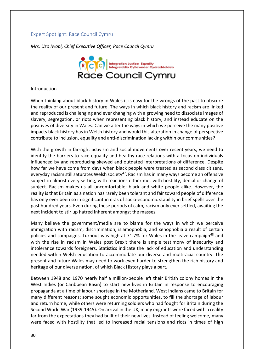# <span id="page-29-0"></span>Expert Spotlight: Race Council Cymru

*Mrs. Uzo Iwobi, Chief Executive Officer, Race Council Cymru*



#### **Introduction**

When thinking about black history in Wales it is easy for the wrongs of the past to obscure the reality of our present and future. The ways in which black history and racism are linked and reproduced is challenging and ever changing with a growing need to dissociate images of slavery, segregation, or riots when representing black history, and instead educate on the positives of diversity in Wales. Can we alter the ways in which we perceive the many positive impacts black history has in Welsh history and would this alteration in change of perspective contribute to inclusion, equality and anti-discrimination lacking within our communities?

With the growth in far-right activism and social movements over recent years, we need to identify the barriers to race equality and healthy race relations with a focus on individuals influenced by and reproducing skewed and outdated interpretations of difference. Despite how far we have come from days when black people were treated as second class citizens, everyday racism still saturates Welsh society<sup>47</sup>. Racism has in many ways become an offensive subject in almost every setting, with reactions either met with hostility, denial or change of subject. Racism makes us all uncomfortable; black and white people alike. However, the reality is that Britain as a nation has rarely been tolerant and fair toward people of difference has only ever been so in significant in eras of socio-economic stability in brief spells over the past hundred years. Even during these periods of calm, racism only ever settled, awaiting the next incident to stir up hatred inherent amongst the masses.

Many believe the government/media are to blame for the ways in which we perceive immigration with racism, discrimination, islamophobia, and xenophobia a result of certain policies and campaigns. Turnout was high at 71.7% for Wales in the leave campaign<sup>48</sup> and with the rise in racism in Wales post Brexit there is ample testimony of insecurity and intolerance towards foreigners. Statistics indicate the lack of education and understanding needed within Welsh education to accommodate our diverse and multiracial country. The present and future Wales may need to work even harder to strengthen the rich history and heritage of our diverse nation, of which Black History plays a part.

Between 1948 and 1970 nearly half a million-people left their British colony homes in the West Indies (or Caribbean Basin) to start new lives in Britain in response to encouraging propaganda at a time of labour shortage in the Motherland. West Indians came to Britain for many different reasons; some sought economic opportunities, to fill the shortage of labour and return home, while others were returning soldiers who had fought for Britain during the Second World War (1939-1945). On arrival in the UK, many migrants were faced with a reality far from the expectations they had built of their new lives. Instead of feeling welcome, many were faced with hostility that led to increased racial tensions and riots in times of high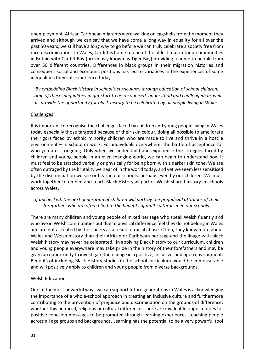unemployment. African Caribbean migrants were walking on eggshells from the moment they arrived and although we can say that we have come a long way in equality for all over the past 50 years, we still have a long way to go before we can truly celebrate a society free from race discrimination. In Wales, Cardiff is home to one of the oldest multi-ethnic communities in Britain with Cardiff Bay (previously known as Tiger Bay) providing a home to people from over 50 different countries. Differences in black groups in their migration histories and consequent social and economic positions has led to variances in the experiences of some inequalities they still experience today.

*By embedding Black History in school's curriculum, through education of school children, some of these inequalities might start to be recognised, understood and challenged; as well as provide the opportunity for black history to be celebrated by all people living in Wales.*

#### Challenges

It is important to recognise the challenges faced by children and young people living in Wales today especially those targeted because of their skin colour, doing all possible to ameliorate the rigors faced by ethnic minority children who are made to live and thrive in a hostile environment – in school or work. For individuals everywhere, the battle of acceptance for who you are is ongoing. Only when we understand and experience the struggles faced by children and young people in an ever-changing world, we can begin to understand how it must feel to be attacked verbally or physically for being born with a darker skin tone. We are often outraged by the brutality we hear of in the world today, and yet we seem less sensitised by the discrimination we see or hear in our schools, perhaps even by our children. We must work together to embed and teach Black History as part of Welsh shared history in schools across Wales.

# *If unchecked, the next generation of children will portray the prejudicial attitudes of their forefathers who are often blind to the benefits of multiculturalism in our schools.*

There are many children and young people of mixed heritage who speak Welsh fluently and who live in Welsh communities but due to physical difference feel they do not belong in Wales and are not accepted by their peers as a result of racial abuse. Often, they know more about Wales and Welsh history than their African or Caribbean heritage and the linage with black Welsh history may never be celebrated. In applying Black history to our curriculum, children and young people everywhere may take pride in the history of their forefathers and may be given an opportunity to investigate their linage in a positive, inclusive, and open environment. Benefits of including Black History studies in the school curriculum would be immeasurable and will positively apply to children and young people from diverse backgrounds.

#### Welsh Education

One of the most powerful ways we can support future generations in Wales is acknowledging the importance of a whole-school approach in creating an inclusive culture and furthermore contributing to the prevention of prejudice and discrimination on the grounds of difference; whether this be racial, religious or cultural difference. There are invaluable opportunities for positive cohesion messages to be promoted through learning experiences, reaching people across all age groups and backgrounds. Learning has the potential to be a very powerful tool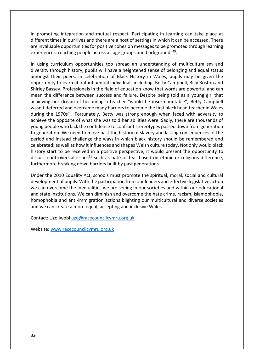in promoting integration and mutual respect. Participating in learning can take place at different times in our lives and there are a host of settings in which it can be accessed. There are invaluable opportunities for positive cohesion messages to be promoted through learning experiences, reaching people across all age groups and backgrounds<sup>49</sup>.

In using curriculum opportunities too spread an understanding of multiculturalism and diversity through history, pupils will have a heightened sense of belonging and equal status amongst their peers. In celebration of Black History in Wales, pupils may be given the opportunity to learn about influential individuals including, Betty Campbell, Billy Boston and Shirley Bassey. Professionals in the field of education know that words are powerful and can mean the difference between success and failure. Despite being told as a young girl that achieving her dream of becoming a teacher "would be insurmountable", Betty Campbell wasn't deterred and overcame many barriers to become the first black head teacher in Wales during the 1970s<sup>50</sup>. Fortunately, Betty was strong enough when faced with adversity to achieve the opposite of what she was told her abilities were. Sadly, there are thousands of young people who lack the confidence to confront stereotypes passed down from generation to generation. We need to move past the history of slavery and lasting consequences of the period and instead challenge the ways in which black history should be remembered and celebrated; as well as how it influences and shapes Welsh culture today. Not only would black history start to be received in a positive perspective, it would present the opportunity to discuss controversial issues $51$  such as hate or fear based on ethnic or religious difference, furthermore breaking down barriers built by past generations.

Under the 2010 Equality Act, schools must promote the spiritual, moral, social and cultural development of pupils. With the participation from our leaders and effective legislative action we can overcome the inequalities we are seeing in our societies and within our educational and state institutions. We can diminish and overcome the hate crime, racism, Islamophobia, homophobia and anti-immigration actions blighting our multicultural and diverse societies and we can create a more equal, accepting and inclusive Wales.

Contact: Uzo Iwobi [uzo@racecouncilcymru.org.uk](mailto:uzo@racecouncilcymru.org.uk)

Website: [www.racecouncilcymru.org.uk](http://www.racecouncilcymru.org.uk/)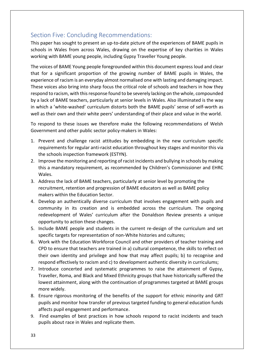# <span id="page-32-0"></span>Section Five: Concluding Recommendations:

This paper has sought to present an up-to-date picture of the experiences of BAME pupils in schools in Wales from across Wales, drawing on the expertise of key charities in Wales working with BAME young people, including Gypsy Traveller Young people.

The voices of BAME Young people foregrounded within this document express loud and clear that for a significant proportion of the growing number of BAME pupils in Wales, the experience of racism is an everyday almost normalised one with lasting and damaging impact. These voices also bring into sharp focus the critical role of schools and teachers in how they respond to racism, with this response found to be severely lacking on the whole, compounded by a lack of BAME teachers, particularly at senior levels in Wales. Also illuminated is the way in which a 'white-washed' curriculum distorts both the BAME pupils' sense of self-worth as well as their own and their white peers' understanding of their place and value in the world.

To respond to these issues we therefore make the following recommendations of Welsh Government and other public sector policy-makers in Wales:

- 1. Prevent and challenge racist attitudes by embedding in the new curriculum specific requirements for regular anti-racist education throughout key stages and monitor this via the schools inspection framework (ESTYN).
- 2. Improve the monitoring and reporting of racist incidents and bullying in schools by making this a mandatory requirement, as recommended by Children's Commissioner and EHRC Wales.
- 3. Address the lack of BAME teachers, particularly at senior level by promoting the recruitment, retention and progression of BAME educators as well as BAME policy makers within the Education Sector.
- 4. Develop an authentically diverse curriculum that involves engagement with pupils and community in its creation and is embedded across the curriculum. The ongoing redevelopment of Wales' curriculum after the Donaldson Review presents a unique opportunity to action these changes.
- 5. Include BAME people and students in the current re-design of the curriculum and set specific targets for representation of non-White histories and cultures;
- 6. Work with the Education Workforce Council and other providers of teacher training and CPD to ensure that teachers are trained in a) cultural competence, the skills to reflect on their own identity and privilege and how that may affect pupils; b) to recognise and respond effectively to racism and c) to development authentic diversity in curriculums;
- 7. Introduce concerted and systematic programmes to raise the attainment of Gypsy, Traveller, Roma, and Black and Mixed Ethnicity groups that have historically suffered the lowest attainment, along with the continuation of programmes targeted at BAME groups more widely.
- 8. Ensure rigorous monitoring of the benefits of the support for ethnic minority and GRT pupils and monitor how transfer of previous targeted funding to general education funds affects pupil engagement and performance.
- 9. Find examples of best practices in how schools respond to racist incidents and teach pupils about race in Wales and replicate them.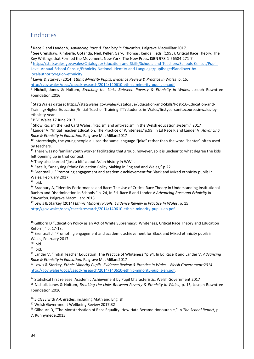# <span id="page-33-0"></span>Endnotes

**.** 

<sup>1</sup> Race R and Lander V, *Advancing Race & Ethnicity in Education,* Palgrave MacMillan:2017.

2 See Crenshaw, Kimberlé; Gotanda, Neil; Peller, Gary; Thomas, Kendall, eds. (1995). Critical Race Theory: The Key Writings that Formed the Movement. New York: The New Press. ISBN 978-1-56584-271-7

<sup>3</sup> [https://statswales.gov.wales/Catalogue/Education-and-Skills/Schools-and-Teachers/Schools-Census/Pupil-](https://statswales.gov.wales/Catalogue/Education-and-Skills/Schools-and-Teachers/Schools-Census/Pupil-Level-Annual-School-Census/Ethnicity-National-Identity-and-Language/pupilsaged5andiover-by-localauthorityregion-ethnicity)[Level-Annual-School-Census/Ethnicity-National-Identity-and-Language/pupilsaged5andiover-by](https://statswales.gov.wales/Catalogue/Education-and-Skills/Schools-and-Teachers/Schools-Census/Pupil-Level-Annual-School-Census/Ethnicity-National-Identity-and-Language/pupilsaged5andiover-by-localauthorityregion-ethnicity)[localauthorityregion-ethnicity](https://statswales.gov.wales/Catalogue/Education-and-Skills/Schools-and-Teachers/Schools-Census/Pupil-Level-Annual-School-Census/Ethnicity-National-Identity-and-Language/pupilsaged5andiover-by-localauthorityregion-ethnicity)

4 Lewis & Starkey (2014) *Ethnic Minority Pupils: Evidence Review & Practice In Wales*, p. 15, <http://gov.wales/docs/caecd/research/2014/140610-ethnic-minority-pupils-en.pdf>

<sup>5</sup> Nicholl, Jones & Holtom, *Breaking the Links Between Poverty & Ethnicity in Wales*, Joseph Rowntree Foundation:2016

6 StatsWales dataset https://statswales.gov.wales/Catalogue/Education-and-Skills/Post-16-Education-and-Training/Higher-Education/Initial-Teacher-Training-ITT/students-in-Wales/firstyearsonitecoursesinwales-byethnicity-year

<sup>7</sup> BBC Wales 17 June 2017

8 Show Racism the Red Card Wales, "Racism and anti-racism in the Welsh education system," 2017

9 Lander V, "Initial Teacher Education: The Practice of Whiteness,"p.99, In Ed Race R and Lander V, *Advancing Race & Ethnicity in Education,* Palgrave MacMillan:2017

<sup>10</sup> Interestingly, the young people al used the same language "joke" rather than the word "banter" often used by teachers.

<sup>11</sup> There was no familiar youth worker facilitating that group, however, so it is unclear to what degree the kids felt opening up in that context.

<sup>12</sup> They also learned "just a bit" about Asian history in WWII.

<sup>13</sup> Race R, "Analysing Ethnic Education Policy Making in England and Wales," p.22.

<sup>14</sup> Brentnall J, "Promoting engagement and academic achievement for Black and Mixed ethnicity pupils in Wales, February 2017.

 $15$  Ibid.

<sup>16</sup> Bradbury A, "Identity Performance and Race: The Use of Critical Race Theory in Understanding Institutional Racism and Discrimination in Schools," p. 24, In Ed. Race R and Lander V *Advancing Race and Ethnicity in Education,* Palgrave Macmillan: 2016

<sup>17</sup> Lewis & Starkey (2014) *Ethnic Minority Pupils: Evidence Review & Practice In Wales*, p. 15, <http://gov.wales/docs/caecd/research/2014/140610-ethnic-minority-pupils-en.pdf>

<sup>18</sup> Gillborn D "Education Policy as an Act of White Supremacy: Whiteness, Critical Race Theory and Education Reform," p. 17-18.

<sup>19</sup> Brentnall J, "Promoting engagement and academic achievement for Black and Mixed ethnicity pupils in Wales, February 2017.

 $20$  Ibid.

 $21$  Ibid.

<sup>22</sup> Lander V, "Initial Teacher Education: The Practice of Whiteness,"p.94, In Ed Race R and Lander V, *Advancing Race & Ethnicity in Education,* Palgrave MacMillan:2017

<sup>23</sup> Lewis & Starkey, *Ethnic Minority Pupils: Evidence Review & Practice In Wales. Welsh Government:2014.*  [http://gov.wales/docs/caecd/research/2014/140610-ethnic-minority-pupils-en.pdf.](http://gov.wales/docs/caecd/research/2014/140610-ethnic-minority-pupils-en.pdf)

<sup>24</sup> Statistical first release: Academic Achievement by Pupil Characteristic, Welsh Government 2017

<sup>25</sup> Nicholl, Jones & Holtom, *Breaking the Links Between Poverty & Ethnicity in Wales*, p. 16, Joseph Rowntree Foundation:2016

<sup>26</sup> 5 CGSE with A-C grades, including Math and English

<sup>27</sup> Welsh Government Wellbeing Review 2017:32

<sup>28</sup> Gilbourn D, "The Monsterisation of Race Equality: How Hate Became Honourable," In *The School Report*, p.

7, Runnymede:2015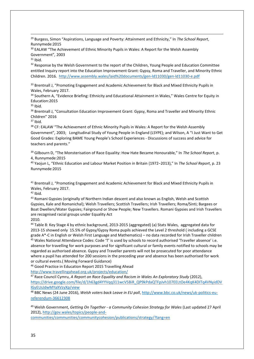<sup>29</sup> Burgess, Simon "Aspirations, Language and Poverty: Attainment and Ethnicity," In *The School Report*, Runnymede:2015

<sup>30</sup> EALAW "The Achievement of Ethnic Minority Pupils in Wales: A Report for the Welsh Assembly Government"*,* 2003

 $31$  Ibid.

**.** 

<sup>32</sup> Response by the Welsh Government to the report of the Children, Young People and Education Committee entitled Inquiry report into the Education Improvement Grant: Gypsy, Roma and Traveller, and Minority Ethnic Children. 2016. <http://www.assembly.wales/laid%20documents/gen-ld11030/gen-ld11030-e.pdf>

33 Brentnall J, "Promoting Engagement and Academic Achievement for Black and Mixed Ethnicity Pupils in Wales, February 2017.

34 Southern A, "Evidence Briefing: Ethnicity and Educational Attainment in Wales," Wales Centre for Equity in Education:2015

 $35$  Ibid.

<sup>36</sup> Brentnall J, "Consultation Education Improvement Grant: Gypsy, Roma and Traveller and Minority Ethnic Children" 2016

<sup>37</sup> Ibid.

<sup>38</sup> CF: EALAW "The Achievement of Ethnic Minority Pupils in Wales: A Report for the Welsh Assembly Government"*,* 2003; Longitudinal Study of Young People in England (LSYPE); and Wilson, A "I Just Want to Get Good Grades: Exploring BAME Young People's School Experiences - Discussions of success and advice for teachers and parents."

<sup>39</sup> Gilbourn D, "The Monsterisation of Race Equality: How Hate Became Honourable," In *The School Report*, p. 4, Runnymede:2015

<sup>40</sup> Yaojun L, "Ethnic Education and Labour Market Position in Britain (1972−2013)," In *The School Report*, p. 23 Runnymede:2015

<sup>41</sup> Brentnall J, "Promoting Engagement and Academic Achievement for Black and Mixed Ethnicity Pupils in Wales, February 2017.

 $42$  Ibid.

<sup>43</sup> Romani Gypsies (originally of Northern Indian descent and also known as English, Welsh and Scottish Gypsies, Kale and Romanichal); Welsh Travellers; Scottish Travellers; Irish Travellers; Roma/Sinti; Bargees or Boat Dwellers/Water Gypsies; Fairground or Show People; New Travellers. Romani Gypsies and Irish Travellers are recognised racial groups under Equality Act 2010.

<sup>44</sup> Table 8: Key Stage 4 by ethnic background, 2013-2015 (aggregated) (a) Stats Wales, aggregated data for 2013-15 showed only 15.5% of Gypsy/Gypsy Roma pupils achieved the Level 2 threshold ( including a GCSE grade A\*-C in English or Welsh First Language and Mathematics) – no data recorded for Irish Traveller children <sup>45</sup> Wales National Attendance Codes: Code 'T' is used by schools to record authorised 'Traveller absence' i.e. absence for travelling for work purposes and for significant cultural or family events notified to schools may be regarded as authorised absence. Gypsy and Traveller parents will not be prosecuted for poor attendance where a pupil has attended for 200 sessions in the preceding year and absence has been authorised for work or cultural events.( Moving Forward Guidance)

<sup>46</sup> Good Practice in Education Report 2015 Travelling Ahead

<http://www.travellingahead.org.uk/projects/education/>

<sup>47</sup> Race Council Cymru, *A Report on Race Equality and Racism in Wales An Exploratory Study* (2012), [https://drive.google.com/file/d/1h63gd4YYVqq311wcV5BiR\\_QP9kPdaQTFpJvh107EELtOe4KqK4DITq4VNyidDV](https://drive.google.com/file/d/1h63gd4YYVqq311wcV5BiR_QP9kPdaQTFpJvh107EELtOe4KqK4DITq4VNyidDVlGyEUsJdwMYaXVzyXp/view) [lGyEUsJdwMYaXVzyXp/view](https://drive.google.com/file/d/1h63gd4YYVqq311wcV5BiR_QP9kPdaQTFpJvh107EELtOe4KqK4DITq4VNyidDVlGyEUsJdwMYaXVzyXp/view)

<sup>48</sup> BBC News (24 June 2016), *Welsh voters back Leave in EU poll*, [http://www.bbc.co.uk/news/uk-politics-eu](http://www.bbc.co.uk/news/uk-politics-eu-referendum-36612308)[referendum-36612308](http://www.bbc.co.uk/news/uk-politics-eu-referendum-36612308)

<sup>49</sup> Welsh Government, *Getting On Together - a Community Cohesion Strategy for Wales* (Last updated 27 April 2012), [http://gov.wales/topics/people-and-](http://gov.wales/topics/people-and-communities/communities/communitycohesion/publications/strategy/?lang=en)

[communities/communities/communitycohesion/publications/strategy/?lang=en](http://gov.wales/topics/people-and-communities/communities/communitycohesion/publications/strategy/?lang=en)